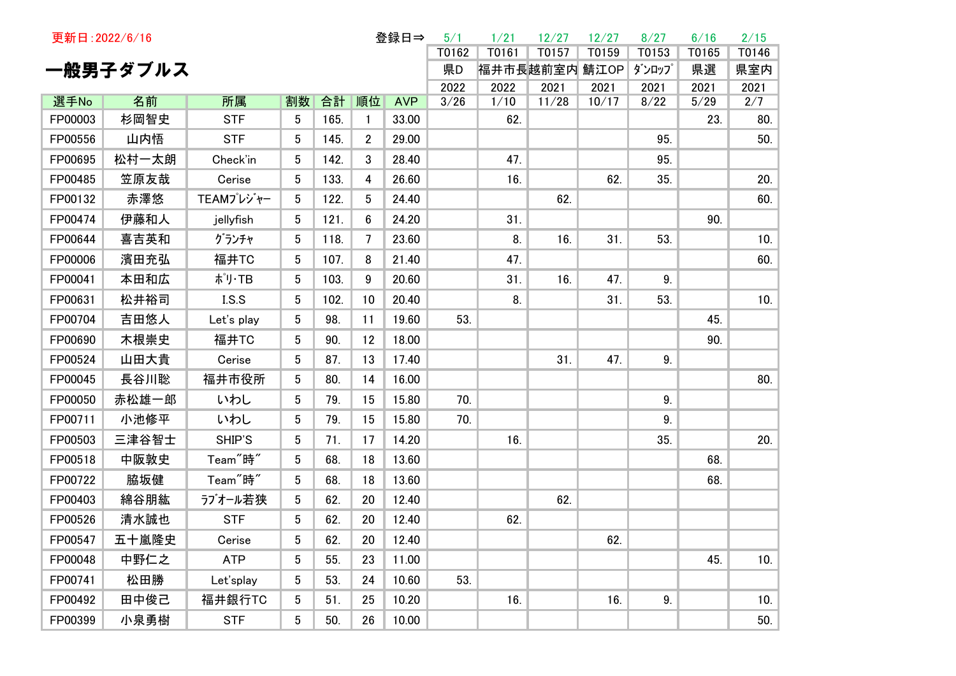| 更新日: 2022/6/16 |          |                      |                 |      |                | 登録日⇒       | 5/1          | 1/21          | 12/27         | 12/27         | 8/27         | 6/16         | 2/15        |
|----------------|----------|----------------------|-----------------|------|----------------|------------|--------------|---------------|---------------|---------------|--------------|--------------|-------------|
|                |          |                      |                 |      |                |            | T0162        | T0161         | T0157         | T0159         | T0153        | T0165        | T0146       |
|                | 一般男子ダブルス |                      |                 |      |                |            | 県D           | 福井市長越前室内 鯖江OP |               |               | ダンロップ        | 県選           | 県室内         |
| 選手No           | 名前       | 所属                   | 割数              | 合計   | 順位             | <b>AVP</b> | 2022<br>3/26 | 2022<br>1/10  | 2021<br>11/28 | 2021<br>10/17 | 2021<br>8/22 | 2021<br>5/29 | 2021<br>2/7 |
| FP00003        | 杉岡智史     | <b>STF</b>           | 5               | 165. | $\mathbf{1}$   | 33.00      |              | 62.           |               |               |              | 23.          | 80.         |
| FP00556        | 山内悟      | <b>STF</b>           | 5               | 145. | $\overline{2}$ | 29.00      |              |               |               |               | 95.          |              | 50.         |
| FP00695        | 松村一太朗    | Check'in             | 5               | 142. | 3              | 28.40      |              | 47.           |               |               | 95.          |              |             |
| FP00485        | 笠原友哉     | Cerise               | $5\phantom{.0}$ | 133. | 4              | 26.60      |              | 16.           |               | 62.           | 35.          |              | 20.         |
|                |          |                      |                 |      |                |            |              |               |               |               |              |              |             |
| FP00132        | 赤澤悠      | TEAMプレジャー            | 5               | 122. | 5              | 24.40      |              |               | 62.           |               |              |              | 60.         |
| FP00474        | 伊藤和人     | jellyfish            | 5               | 121. | 6              | 24.20      |              | 31.           |               |               |              | 90.          |             |
| FP00644        | 喜吉英和     | グランチャ                | $5\phantom{.0}$ | 118. | 7              | 23.60      |              | 8.            | 16.           | 31.           | 53.          |              | 10.         |
| FP00006        | 濱田充弘     | 福井TC                 | 5               | 107. | 8              | 21.40      |              | 47.           |               |               |              |              | 60.         |
| FP00041        | 本田和広     | ポリ・TB                | 5               | 103. | 9              | 20.60      |              | 31.           | 16.           | 47.           | 9.           |              |             |
| FP00631        | 松井裕司     | LS.S                 | 5               | 102. | 10             | 20.40      |              | 8.            |               | 31.           | 53.          |              | 10.         |
| FP00704        | 吉田悠人     | Let's play           | 5               | 98.  | 11             | 19.60      | 53.          |               |               |               |              | 45.          |             |
| FP00690        | 木根崇史     | 福井TC                 | 5               | 90.  | 12             | 18.00      |              |               |               |               |              | 90.          |             |
| FP00524        | 山田大貴     | Cerise               | 5               | 87.  | 13             | 17.40      |              |               | 31.           | 47.           | 9.           |              |             |
| FP00045        | 長谷川聡     | 福井市役所                | 5               | 80.  | 14             | 16.00      |              |               |               |               |              |              | 80.         |
| FP00050        | 赤松雄一郎    | いわし                  | 5               | 79.  | 15             | 15.80      | 70.          |               |               |               | 9.           |              |             |
| FP00711        | 小池修平     | いわし                  | 5               | 79.  | 15             | 15.80      | 70.          |               |               |               | 9.           |              |             |
| FP00503        | 三津谷智士    | SHIP'S               | 5               | 71.  | 17             | 14.20      |              | 16.           |               |               | 35.          |              | 20.         |
| FP00518        | 中阪敦史     | Team <sup>"</sup> 時" | 5               | 68.  | 18             | 13.60      |              |               |               |               |              | 68.          |             |
| FP00722        | 脇坂健      | Team <sup>"</sup> 時" | $5\phantom{.0}$ | 68.  | 18             | 13.60      |              |               |               |               |              | 68.          |             |
| FP00403        | 綿谷朋紘     | ラブオール若狭              | 5               | 62.  | 20             | 12.40      |              |               | 62.           |               |              |              |             |
| FP00526        | 清水誠也     | <b>STF</b>           | 5 <sup>5</sup>  | 62.  | 20             | 12.40      |              | 62.           |               |               |              |              |             |
| FP00547        | 五十嵐隆史    | Cerise               | 5 <sub>5</sub>  | 62.  | 20             | 12.40      |              |               |               | 62.           |              |              |             |
| FP00048        | 中野仁之     | <b>ATP</b>           | 5 <sup>5</sup>  | 55.  | 23             | 11.00      |              |               |               |               |              | 45.          | 10.         |
| FP00741        | 松田勝      | Let'splay            | 5               | 53.  | 24             | 10.60      | 53.          |               |               |               |              |              |             |
| FP00492        | 田中俊己     | 福井銀行TC               | 5               | 51.  | 25             | 10.20      |              | 16.           |               | 16.           | 9.           |              | 10.         |
| FP00399        | 小泉勇樹     | <b>STF</b>           | 5 <sup>5</sup>  | 50.  | 26             | 10.00      |              |               |               |               |              |              | 50.         |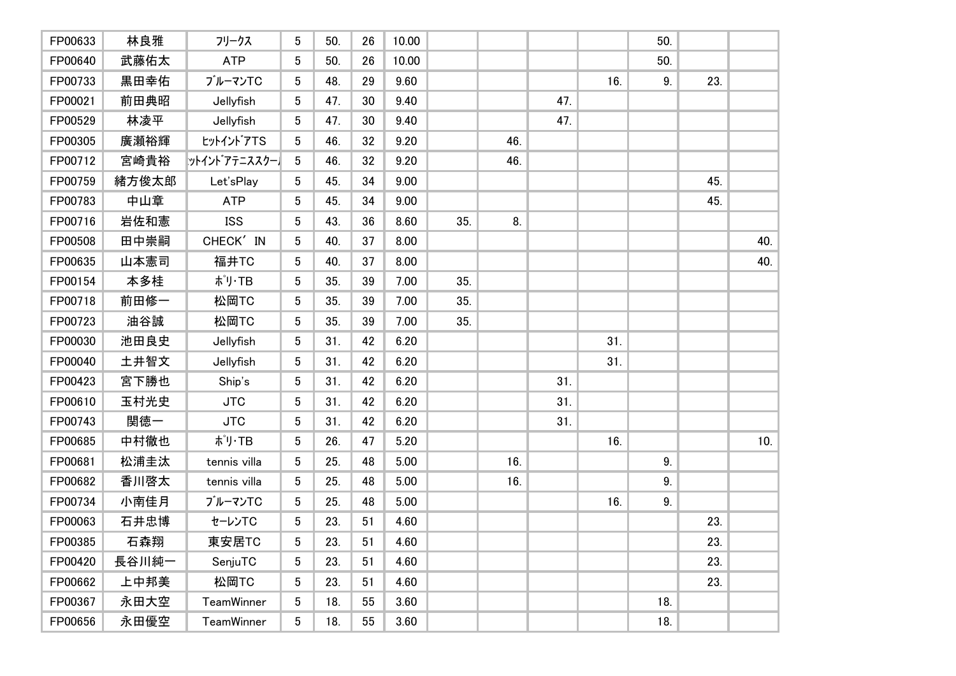| FP00633 | 林良雅   | フリークス             | 5               | 50. | 26 | 10.00 |     |     |     |     | 50. |     |     |
|---------|-------|-------------------|-----------------|-----|----|-------|-----|-----|-----|-----|-----|-----|-----|
| FP00640 | 武藤佑太  | <b>ATP</b>        | 5               | 50. | 26 | 10.00 |     |     |     |     | 50. |     |     |
| FP00733 | 黒田幸佑  | ブルーマンTC           | 5               | 48. | 29 | 9.60  |     |     |     | 16. | 9.  | 23. |     |
| FP00021 | 前田典昭  | Jellyfish         | 5               | 47. | 30 | 9.40  |     |     | 47. |     |     |     |     |
| FP00529 | 林凌平   | Jellyfish         | 5               | 47. | 30 | 9.40  |     |     | 47. |     |     |     |     |
| FP00305 | 廣瀬裕輝  | tットイントアTS         | 5               | 46. | 32 | 9.20  |     | 46. |     |     |     |     |     |
| FP00712 | 宮崎貴裕  | ットイント゛アテニススクー】    | 5 <sup>5</sup>  | 46. | 32 | 9.20  |     | 46. |     |     |     |     |     |
| FP00759 | 緒方俊太郎 | Let'sPlay         | 5               | 45. | 34 | 9.00  |     |     |     |     |     | 45. |     |
| FP00783 | 中山章   | <b>ATP</b>        | 5 <sup>5</sup>  | 45. | 34 | 9.00  |     |     |     |     |     | 45. |     |
| FP00716 | 岩佐和憲  | <b>ISS</b>        | 5 <sup>5</sup>  | 43. | 36 | 8.60  | 35. | 8.  |     |     |     |     |     |
| FP00508 | 田中崇嗣  | CHECK' IN         | 5               | 40. | 37 | 8.00  |     |     |     |     |     |     | 40. |
| FP00635 | 山本憲司  | 福井TC              | 5 <sup>5</sup>  | 40. | 37 | 8.00  |     |     |     |     |     |     | 40. |
| FP00154 | 本多桂   | ポリ・TB             | $5\phantom{.0}$ | 35. | 39 | 7.00  | 35. |     |     |     |     |     |     |
| FP00718 | 前田修一  | 松岡TC              | 5               | 35. | 39 | 7.00  | 35. |     |     |     |     |     |     |
| FP00723 | 油谷誠   | 松岡TC              | 5               | 35. | 39 | 7.00  | 35. |     |     |     |     |     |     |
| FP00030 | 池田良史  | Jellyfish         | 5               | 31. | 42 | 6.20  |     |     |     | 31. |     |     |     |
| FP00040 | 土井智文  | Jellyfish         | 5               | 31. | 42 | 6.20  |     |     |     | 31. |     |     |     |
| FP00423 | 宮下勝也  | Ship's            | 5               | 31. | 42 | 6.20  |     |     | 31. |     |     |     |     |
| FP00610 | 玉村光史  | <b>JTC</b>        | 5               | 31. | 42 | 6.20  |     |     | 31. |     |     |     |     |
| FP00743 | 関徳一   | <b>JTC</b>        | 5               | 31. | 42 | 6.20  |     |     | 31. |     |     |     |     |
| FP00685 | 中村徹也  | ポリ・TB             | 5               | 26. | 47 | 5.20  |     |     |     | 16. |     |     | 10. |
| FP00681 | 松浦圭汰  | tennis villa      | 5               | 25. | 48 | 5.00  |     | 16. |     |     | 9.  |     |     |
| FP00682 | 香川啓太  | tennis villa      | 5               | 25. | 48 | 5.00  |     | 16. |     |     | 9.  |     |     |
| FP00734 | 小南佳月  | ブルーマンTC           | 5 <sup>5</sup>  | 25. | 48 | 5.00  |     |     |     | 16. | 9.  |     |     |
| FP00063 | 石井忠博  | セーレンTC            | 5 <sup>5</sup>  | 23. | 51 | 4.60  |     |     |     |     |     | 23. |     |
| FP00385 | 石森翔   | 東安居TC             | 5 <sub>5</sub>  | 23. | 51 | 4.60  |     |     |     |     |     | 23. |     |
| FP00420 | 長谷川純一 | SenjuTC           | $5\overline{)}$ | 23. | 51 | 4.60  |     |     |     |     |     | 23. |     |
| FP00662 | 上中邦美  | 松岡TC              | 5               | 23. | 51 | 4.60  |     |     |     |     |     | 23. |     |
| FP00367 | 永田大空  | TeamWinner        | 5               | 18. | 55 | 3.60  |     |     |     |     | 18. |     |     |
| FP00656 | 永田優空  | <b>TeamWinner</b> | 5 <sup>5</sup>  | 18. | 55 | 3.60  |     |     |     |     | 18. |     |     |